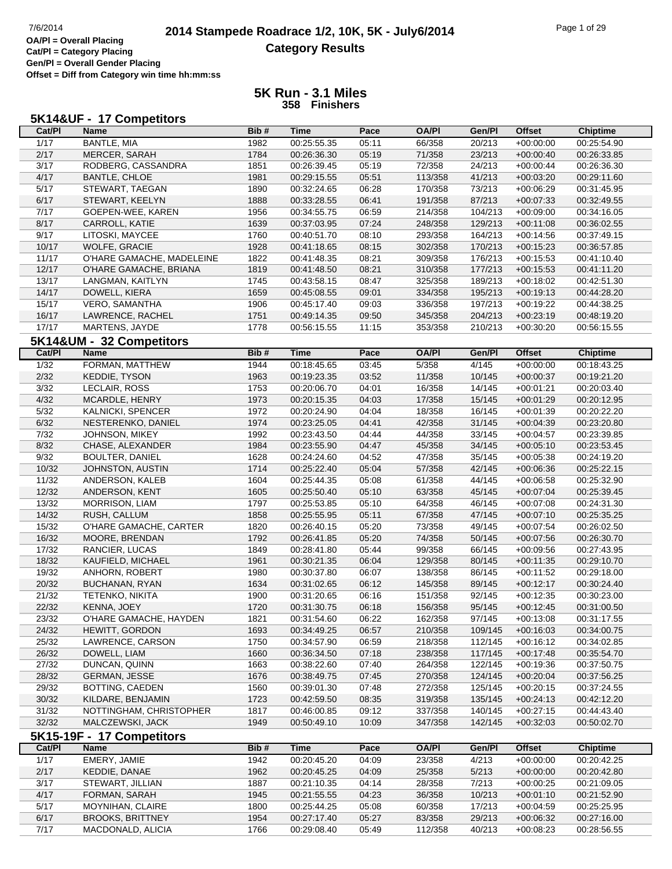# **2014 Stampede Roadrace 1/2, 10K, 5K - July6/2014** Page 1 of 29 Page 1 of 29 **Category Results**

**Cat/Pl = Category Placing Gen/Pl = Overall Gender Placing Offset = Diff from Category win time hh:mm:ss**

| 5K14&UF - 17 Competitors |  |  |
|--------------------------|--|--|
|--------------------------|--|--|

| ,,,,,,,,,<br>Cat/PI | 11.99111991191<br>Name            | Bib#         | Time                       | Pace  | <b>OA/PI</b>       | Gen/Pl             | <b>Offset</b> | <b>Chiptime</b>            |
|---------------------|-----------------------------------|--------------|----------------------------|-------|--------------------|--------------------|---------------|----------------------------|
| 1/17                | <b>BANTLE, MIA</b>                | 1982         | 00:25:55.35                | 05:11 | 66/358             | 20/213             | $+00:00:00$   | 00:25:54.90                |
| 2/17                | MERCER, SARAH                     | 1784         | 00:26:36.30                | 05:19 | 71/358             | 23/213             | $+00:00:40$   | 00:26:33.85                |
| 3/17                | RODBERG, CASSANDRA                | 1851         | 00:26:39.45                | 05:19 | 72/358             | 24/213             | $+00:00:44$   | 00:26:36.30                |
| 4/17                | <b>BANTLE, CHLOE</b>              | 1981         | 00:29:15.55                | 05:51 | 113/358            | 41/213             | $+00:03:20$   | 00:29:11.60                |
| 5/17                | STEWART, TAEGAN                   | 1890         | 00:32:24.65                | 06:28 | 170/358            | 73/213             | $+00:06:29$   | 00:31:45.95                |
| 6/17                | STEWART, KEELYN                   | 1888         | 00:33:28.55                | 06:41 | 191/358            | 87/213             | $+00:07:33$   | 00:32:49.55                |
| 7/17                |                                   |              |                            | 06:59 |                    | 104/213            |               |                            |
| 8/17                | GOEPEN-WEE, KAREN                 | 1956         | 00:34:55.75                |       | 214/358            |                    | $+00:09:00$   | 00:34:16.05                |
| 9/17                | CARROLL, KATIE<br>LITOSKI, MAYCEE | 1639<br>1760 | 00:37:03.95                | 07:24 | 248/358<br>293/358 | 129/213<br>164/213 | $+00:11:08$   | 00:36:02.55                |
| 10/17               |                                   |              | 00:40:51.70                | 08:10 |                    |                    | $+00:14:56$   | 00:37:49.15                |
| 11/17               | WOLFE, GRACIE                     | 1928<br>1822 | 00:41:18.65<br>00:41:48.35 | 08:15 | 302/358            | 170/213<br>176/213 | $+00:15:23$   | 00:36:57.85<br>00:41:10.40 |
| 12/17               | O'HARE GAMACHE, MADELEINE         |              |                            | 08:21 | 309/358<br>310/358 | 177/213            | $+00:15:53$   | 00:41:11.20                |
|                     | O'HARE GAMACHE, BRIANA            | 1819         | 00:41:48.50                | 08:21 |                    |                    | $+00:15:53$   |                            |
| 13/17<br>14/17      | LANGMAN, KAITLYN                  | 1745         | 00:43:58.15                | 08:47 | 325/358            | 189/213            | $+00:18:02$   | 00:42:51.30                |
| 15/17               | DOWELL, KIERA                     | 1659         | 00:45:08.55                | 09:01 | 334/358            | 195/213            | $+00:19:13$   | 00:44:28.20                |
| 16/17               | VERO, SAMANTHA                    | 1906         | 00:45:17.40                | 09:03 | 336/358            | 197/213            | $+00:19:22$   | 00:44:38.25                |
|                     | LAWRENCE, RACHEL                  | 1751         | 00:49:14.35                | 09:50 | 345/358            | 204/213            | $+00:23:19$   | 00:48:19.20                |
| 17/17               | MARTENS, JAYDE                    | 1778         | 00:56:15.55                | 11:15 | 353/358            | 210/213            | $+00:30:20$   | 00:56:15.55                |
|                     | 5K14&UM - 32 Competitors          |              |                            |       |                    |                    |               |                            |
| Cat/PI              | <b>Name</b>                       | Bib#         | <b>Time</b>                | Pace  | <b>OA/PI</b>       | Gen/Pl             | <b>Offset</b> | <b>Chiptime</b>            |
| $\frac{1}{32}$      | FORMAN, MATTHEW                   | 1944         | 00:18:45.65                | 03:45 | 5/358              | 4/145              | $+00:00:00$   | 00:18:43.25                |
| 2/32                | <b>KEDDIE, TYSON</b>              | 1963         | 00:19:23.35                | 03:52 | 11/358             | 10/145             | $+00:00:37$   | 00:19:21.20                |
| 3/32                | LECLAIR, ROSS                     | 1753         | 00:20:06.70                | 04:01 | 16/358             | 14/145             | $+00:01:21$   | 00:20:03.40                |
| 4/32                | MCARDLE, HENRY                    | 1973         | 00:20:15.35                | 04:03 | 17/358             | 15/145             | $+00:01:29$   | 00:20:12.95                |
| $5/32$              | KALNICKI, SPENCER                 | 1972         | 00:20:24.90                | 04:04 | 18/358             | 16/145             | $+00:01:39$   | 00:20:22.20                |
| 6/32                | NESTERENKO, DANIEL                | 1974         | 00:23:25.05                | 04:41 | 42/358             | 31/145             | $+00:04:39$   | 00:23:20.80                |
| 7/32                | JOHNSON, MIKEY                    | 1992         | 00:23:43.50                | 04:44 | 44/358             | 33/145             | $+00:04:57$   | 00:23:39.85                |
| 8/32                | CHASE, ALEXANDER                  | 1984         | 00:23:55.90                | 04:47 | 45/358             | 34/145             | $+00:05:10$   | 00:23:53.45                |
| 9/32                | <b>BOULTER, DANIEL</b>            | 1628         | 00:24:24.60                | 04:52 | 47/358             | 35/145             | $+00:05:38$   | 00:24:19.20                |
| 10/32               | JOHNSTON, AUSTIN                  | 1714         | 00:25:22.40                | 05:04 | 57/358             | 42/145             | $+00:06:36$   | 00:25:22.15                |
| 11/32               | ANDERSON, KALEB                   | 1604         | 00:25:44.35                | 05:08 | 61/358             | 44/145             | $+00:06:58$   | 00:25:32.90                |
| 12/32               | ANDERSON, KENT                    | 1605         | 00:25:50.40                | 05:10 | 63/358             | 45/145             | $+00:07:04$   | 00:25:39.45                |
| 13/32               | MORRISON, LIAM                    | 1797         | 00:25:53.85                | 05:10 | 64/358             | 46/145             | $+00:07:08$   | 00:24:31.30                |
| 14/32               | RUSH, CALLUM                      | 1858         | 00:25:55.95                | 05:11 | 67/358             | 47/145             | $+00:07:10$   | 00:25:35.25                |
| 15/32               | O'HARE GAMACHE, CARTER            | 1820         | 00:26:40.15                | 05:20 | 73/358             | 49/145             | $+00:07:54$   | 00:26:02.50                |
| 16/32               | MOORE, BRENDAN                    | 1792         | 00:26:41.85                | 05:20 | 74/358             | 50/145             | $+00:07:56$   | 00:26:30.70                |
| 17/32               | RANCIER, LUCAS                    | 1849         | 00:28:41.80                | 05:44 | 99/358             | 66/145             | $+00:09:56$   | 00:27:43.95                |
| 18/32               | KAUFIELD, MICHAEL                 | 1961         | 00:30:21.35                | 06:04 | 129/358            | 80/145             | $+00:11:35$   | 00:29:10.70                |
| 19/32               | ANHORN, ROBERT                    | 1980         | 00:30:37.80                | 06:07 | 138/358            | 86/145             | $+00:11:52$   | 00:29:18.00                |
| 20/32               | BUCHANAN, RYAN                    | 1634         | 00:31:02.65                | 06:12 | 145/358            | 89/145             | $+00:12:17$   | 00:30:24.40                |
| 21/32               | <b>TETENKO, NIKITA</b>            | 1900         | 00:31:20.65                | 06:16 | 151/358            | 92/145             | $+00:12:35$   | 00:30:23.00                |
| 22/32               | KENNA, JOEY                       | 1720         | 00:31:30.75                | 06:18 | 156/358            | 95/145             | $+00:12:45$   | 00:31:00.50                |
| 23/32               | O'HARE GAMACHE, HAYDEN            | 1821         | 00:31:54.60                | 06:22 | 162/358            | 97/145             | $+00:13:08$   | 00:31:17.55                |
| 24/32               | <b>HEWITT, GORDON</b>             | 1693         | 00:34:49.25                | 06:57 | 210/358            | 109/145            | $+00:16:03$   | 00:34:00.75                |
| 25/32               | LAWRENCE, CARSON                  | 1750         | 00:34:57.90                | 06:59 | 218/358            | 112/145            | $+00:16:12$   | 00:34:02.85                |
| 26/32               | DOWELL, LIAM                      | 1660         | 00:36:34.50                | 07:18 | 238/358            | 117/145            | $+00:17:48$   | 00:35:54.70                |
| 27/32               | DUNCAN, QUINN                     | 1663         | 00:38:22.60                | 07:40 | 264/358            | 122/145            | $+00:19:36$   | 00:37:50.75                |
| 28/32               | <b>GERMAN, JESSE</b>              | 1676         | 00:38:49.75                | 07:45 | 270/358            | 124/145            | $+00:20:04$   | 00:37:56.25                |
| 29/32               | BOTTING, CAEDEN                   | 1560         | 00:39:01.30                | 07:48 | 272/358            | 125/145            | $+00:20:15$   | 00:37:24.55                |
| 30/32               | KILDARE, BENJAMIN                 | 1723         | 00:42:59.50                | 08:35 | 319/358            | 135/145            | $+00:24:13$   | 00:42:12.20                |
| 31/32               | NOTTINGHAM, CHRISTOPHER           | 1817         | 00:46:00.85                | 09:12 | 337/358            | 140/145            | $+00:27:15$   | 00:44:43.40                |
| 32/32               | MALCZEWSKI, JACK                  | 1949         | 00:50:49.10                | 10:09 | 347/358            | 142/145            | $+00:32:03$   | 00:50:02.70                |
|                     | 5K15-19F - 17 Competitors         |              |                            |       |                    |                    |               |                            |
| Cat/PI              | Name                              | Bib#         | <b>Time</b>                | Pace  | <b>OA/PI</b>       | Gen/Pl             | <b>Offset</b> | <b>Chiptime</b>            |
| 1/17                | EMERY, JAMIE                      | 1942         | 00:20:45.20                | 04:09 | 23/358             | 4/213              | $+00:00:00$   | 00:20:42.25                |
| 2/17                | KEDDIE, DANAE                     | 1962         | 00:20:45.25                | 04:09 | 25/358             | 5/213              | $+00:00:00$   | 00:20:42.80                |
| 3/17                | STEWART, JILLIAN                  | 1887         | 00:21:10.35                | 04:14 | 28/358             | 7/213              | $+00:00:25$   | 00:21:09.05                |
| 4/17                | FORMAN, SARAH                     | 1945         | 00:21:55.55                | 04:23 | 36/358             | 10/213             | $+00:01:10$   | 00:21:52.90                |
| 5/17                | MOYNIHAN, CLAIRE                  | 1800         | 00:25:44.25                | 05:08 | 60/358             | 17/213             | $+00:04:59$   | 00:25:25.95                |
| 6/17                | <b>BROOKS, BRITTNEY</b>           | 1954         | 00:27:17.40                | 05:27 | 83/358             | 29/213             | $+00:06:32$   | 00:27:16.00                |
| 7/17                | MACDONALD, ALICIA                 | 1766         | 00:29:08.40                | 05:49 | 112/358            | 40/213             | $+00:08:23$   | 00:28:56.55                |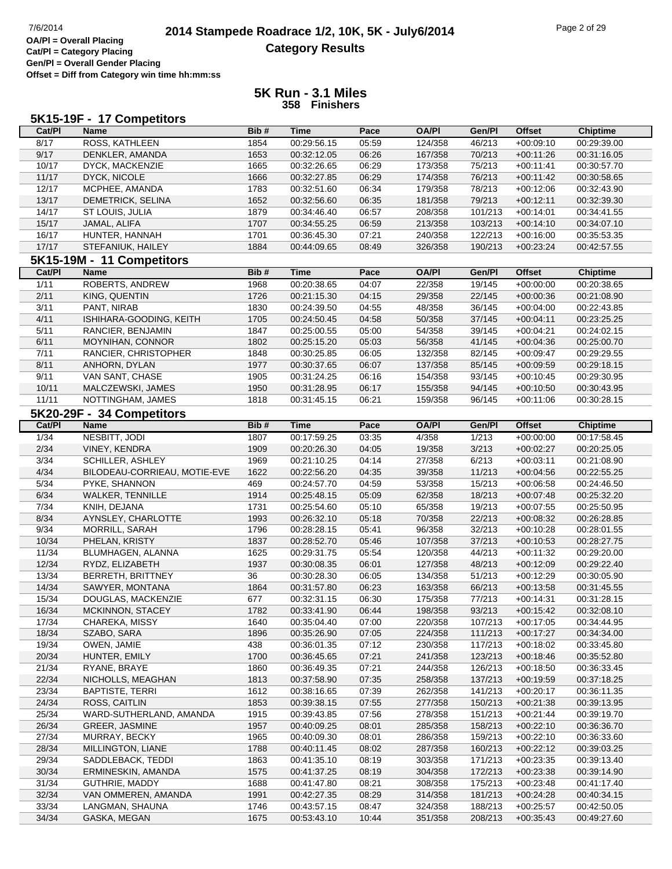# **2014 Stampede Roadrace 1/2, 10K, 5K - July6/2014** Page 2 of 29 Page 2 of 29 **Category Results**

**Cat/Pl = Category Placing Gen/Pl = Overall Gender Placing Offset = Diff from Category win time hh:mm:ss**

|        | 5K15-19F - 17 Competitors    |      |             |       |              |         |               |                 |
|--------|------------------------------|------|-------------|-------|--------------|---------|---------------|-----------------|
| Cat/PI | <b>Name</b>                  | Bib# | <b>Time</b> | Pace  | <b>OA/PI</b> | Gen/Pl  | <b>Offset</b> | <b>Chiptime</b> |
| 8/17   | ROSS, KATHLEEN               | 1854 | 00:29:56.15 | 05:59 | 124/358      | 46/213  | $+00:09:10$   | 00:29:39.00     |
| 9/17   | DENKLER, AMANDA              | 1653 | 00:32:12.05 | 06:26 | 167/358      | 70/213  | $+00:11:26$   | 00:31:16.05     |
| 10/17  | DYCK, MACKENZIE              | 1665 | 00:32:26.65 | 06:29 | 173/358      | 75/213  | $+00:11:41$   | 00:30:57.70     |
| 11/17  | DYCK, NICOLE                 | 1666 | 00:32:27.85 | 06:29 | 174/358      | 76/213  | $+00:11:42$   | 00:30:58.65     |
| 12/17  | MCPHEE, AMANDA               | 1783 | 00:32:51.60 | 06:34 | 179/358      | 78/213  | $+00:12:06$   | 00:32:43.90     |
| 13/17  | DEMETRICK, SELINA            | 1652 | 00:32:56.60 | 06:35 | 181/358      | 79/213  | $+00:12:11$   | 00:32:39.30     |
| 14/17  | ST LOUIS, JULIA              | 1879 | 00:34:46.40 | 06:57 | 208/358      | 101/213 | $+00:14:01$   | 00:34:41.55     |
| 15/17  | JAMAL, ALIFA                 | 1707 | 00:34:55.25 | 06:59 | 213/358      | 103/213 | $+00:14:10$   | 00:34:07.10     |
| 16/17  | HUNTER, HANNAH               | 1701 | 00:36:45.30 | 07:21 | 240/358      | 122/213 | $+00:16:00$   | 00:35:53.35     |
| 17/17  | STEFANIUK, HAILEY            | 1884 | 00:44:09.65 | 08:49 | 326/358      | 190/213 | $+00:23:24$   | 00:42:57.55     |
|        | 5K15-19M - 11 Competitors    |      |             |       |              |         |               |                 |
| Cat/PI | <b>Name</b>                  | Bib# | <b>Time</b> | Pace  | <b>OA/PI</b> | Gen/Pl  | <b>Offset</b> | <b>Chiptime</b> |
| 1/11   | ROBERTS, ANDREW              | 1968 | 00:20:38.65 | 04:07 | 22/358       | 19/145  | $+00:00:00$   | 00:20:38.65     |
| 2/11   | KING, QUENTIN                | 1726 | 00:21:15.30 | 04:15 | 29/358       | 22/145  | $+00:00:36$   | 00:21:08.90     |
| 3/11   | PANT, NIRAB                  | 1830 | 00:24:39.50 | 04:55 | 48/358       | 36/145  | $+00:04:00$   | 00:22:43.85     |
| 4/11   | ISHIHARA-GOODING, KEITH      | 1705 | 00:24:50.45 | 04:58 | 50/358       | 37/145  | $+00:04:11$   | 00:23:25.25     |
| 5/11   | RANCIER, BENJAMIN            | 1847 | 00:25:00.55 | 05:00 | 54/358       | 39/145  | $+00:04:21$   | 00:24:02.15     |
| 6/11   | MOYNIHAN, CONNOR             | 1802 | 00:25:15.20 | 05:03 | 56/358       | 41/145  | $+00:04:36$   | 00:25:00.70     |
| 7/11   | RANCIER, CHRISTOPHER         | 1848 | 00:30:25.85 | 06:05 | 132/358      | 82/145  | $+00:09:47$   | 00:29:29.55     |
| 8/11   | ANHORN, DYLAN                | 1977 | 00:30:37.65 | 06:07 | 137/358      | 85/145  | $+00:09:59$   | 00:29:18.15     |
| 9/11   | VAN SANT, CHASE              | 1905 | 00:31:24.25 | 06:16 | 154/358      | 93/145  | $+00:10:45$   | 00:29:30.95     |
| 10/11  | MALCZEWSKI, JAMES            | 1950 | 00:31:28.95 | 06:17 | 155/358      | 94/145  | $+00:10:50$   | 00:30:43.95     |
| 11/11  | NOTTINGHAM, JAMES            | 1818 | 00:31:45.15 | 06:21 | 159/358      | 96/145  | $+00:11:06$   | 00:30:28.15     |
|        | 5K20-29F - 34 Competitors    |      |             |       |              |         |               |                 |
| Cat/PI | <b>Name</b>                  | Bib# | <b>Time</b> | Pace  | <b>OA/PI</b> | Gen/Pl  | <b>Offset</b> | <b>Chiptime</b> |
| 1/34   | NESBITT, JODI                | 1807 | 00:17:59.25 | 03:35 | 4/358        | 1/213   | $+00:00:00$   | 00:17:58.45     |
| 2/34   | VINEY, KENDRA                | 1909 | 00:20:26.30 | 04:05 | 19/358       | 3/213   | $+00:02:27$   | 00:20:25.05     |
| 3/34   | SCHILLER, ASHLEY             | 1969 | 00:21:10.25 | 04:14 | 27/358       | 6/213   | $+00:03:11$   | 00:21:08.90     |
| 4/34   | BILODEAU-CORRIEAU, MOTIE-EVE | 1622 | 00:22:56.20 | 04:35 | 39/358       | 11/213  | $+00:04:56$   | 00:22:55.25     |
| 5/34   | PYKE, SHANNON                | 469  | 00:24:57.70 | 04:59 | 53/358       | 15/213  | $+00:06:58$   | 00:24:46.50     |
| 6/34   | <b>WALKER, TENNILLE</b>      | 1914 | 00:25:48.15 | 05:09 | 62/358       | 18/213  | $+00:07:48$   | 00:25:32.20     |
| 7/34   | KNIH, DEJANA                 | 1731 | 00:25:54.60 | 05:10 | 65/358       | 19/213  | $+00:07:55$   | 00:25:50.95     |
| 8/34   | AYNSLEY, CHARLOTTE           | 1993 | 00:26:32.10 | 05:18 | 70/358       | 22/213  | $+00:08:32$   | 00:26:28.85     |
| 9/34   | MORRILL, SARAH               | 1796 | 00:28:28.15 | 05:41 | 96/358       | 32/213  | $+00:10:28$   | 00:28:01.55     |
| 10/34  | PHELAN, KRISTY               | 1837 | 00:28:52.70 | 05:46 | 107/358      | 37/213  | $+00:10:53$   | 00:28:27.75     |
| 11/34  | BLUMHAGEN, ALANNA            | 1625 | 00:29:31.75 | 05:54 | 120/358      | 44/213  | $+00:11:32$   | 00:29:20.00     |
| 12/34  | RYDZ, ELIZABETH              | 1937 | 00:30:08.35 | 06:01 | 127/358      | 48/213  | $+00:12:09$   | 00:29:22.40     |
| 13/34  | <b>BERRETH, BRITTNEY</b>     | 36   | 00:30:28.30 | 06:05 | 134/358      | 51/213  | $+00:12:29$   | 00:30:05.90     |
| 14/34  | SAWYER, MONTANA              | 1864 | 00:31:57.80 | 06:23 | 163/358      | 66/213  | $+00:13:58$   | 00:31:45.55     |
| 15/34  | DOUGLAS, MACKENZIE           | 677  | 00:32:31.15 | 06:30 | 175/358      | 77/213  | $+00:14:31$   | 00:31:28.15     |
| 16/34  | MCKINNON, STACEY             | 1782 | 00:33:41.90 | 06:44 | 198/358      | 93/213  | $+00:15:42$   | 00:32:08.10     |
| 17/34  | CHAREKA, MISSY               | 1640 | 00:35:04.40 | 07:00 | 220/358      | 107/213 | $+00:17:05$   | 00:34:44.95     |
| 18/34  | SZABO, SARA                  | 1896 | 00:35:26.90 | 07:05 | 224/358      | 111/213 | $+00:17:27$   | 00:34:34.00     |
| 19/34  | OWEN, JAMIE                  | 438  | 00:36:01.35 | 07:12 | 230/358      | 117/213 | $+00:18:02$   | 00:33:45.80     |
| 20/34  | HUNTER, EMILY                | 1700 | 00:36:45.65 | 07:21 | 241/358      | 123/213 | $+00:18:46$   | 00:35:52.80     |
| 21/34  | RYANE, BRAYE                 | 1860 | 00:36:49.35 | 07:21 | 244/358      | 126/213 | $+00:18:50$   | 00:36:33.45     |
| 22/34  | NICHOLLS, MEAGHAN            | 1813 | 00:37:58.90 | 07:35 | 258/358      | 137/213 | $+00.19.59$   | 00:37:18.25     |
| 23/34  | <b>BAPTISTE, TERRI</b>       | 1612 | 00:38:16.65 | 07:39 | 262/358      | 141/213 | $+00:20:17$   | 00:36:11.35     |
| 24/34  | ROSS, CAITLIN                | 1853 | 00:39:38.15 | 07:55 | 277/358      | 150/213 | $+00:21:38$   | 00:39:13.95     |
| 25/34  | WARD-SUTHERLAND, AMANDA      | 1915 | 00:39:43.85 | 07:56 | 278/358      | 151/213 | $+00:21:44$   | 00:39:19.70     |
| 26/34  | <b>GREER, JASMINE</b>        | 1957 | 00:40:09.25 | 08:01 | 285/358      | 158/213 | $+00:22:10$   | 00:36:36.70     |
| 27/34  | MURRAY, BECKY                | 1965 | 00:40:09.30 | 08:01 | 286/358      | 159/213 | $+00:22:10$   | 00:36:33.60     |
| 28/34  | MILLINGTON, LIANE            | 1788 | 00:40:11.45 | 08:02 | 287/358      | 160/213 | $+00:22:12$   | 00:39:03.25     |
| 29/34  | SADDLEBACK, TEDDI            | 1863 | 00:41:35.10 | 08:19 | 303/358      | 171/213 | $+00:23:35$   | 00:39:13.40     |
| 30/34  | ERMINESKIN, AMANDA           | 1575 | 00:41:37.25 | 08:19 | 304/358      | 172/213 | $+00:23:38$   | 00:39:14.90     |
| 31/34  | GUTHRIE, MADDY               | 1688 | 00:41:47.80 | 08:21 | 308/358      | 175/213 | $+00:23:48$   | 00:41:17.40     |
| 32/34  | VAN OMMEREN, AMANDA          | 1991 | 00:42:27.35 | 08:29 | 314/358      | 181/213 | $+00:24:28$   | 00:40:34.15     |
| 33/34  | LANGMAN, SHAUNA              | 1746 | 00:43:57.15 | 08:47 | 324/358      | 188/213 | $+00:25:57$   | 00:42:50.05     |
| 34/34  | GASKA, MEGAN                 | 1675 | 00:53:43.10 | 10:44 | 351/358      | 208/213 | $+00:35:43$   | 00:49:27.60     |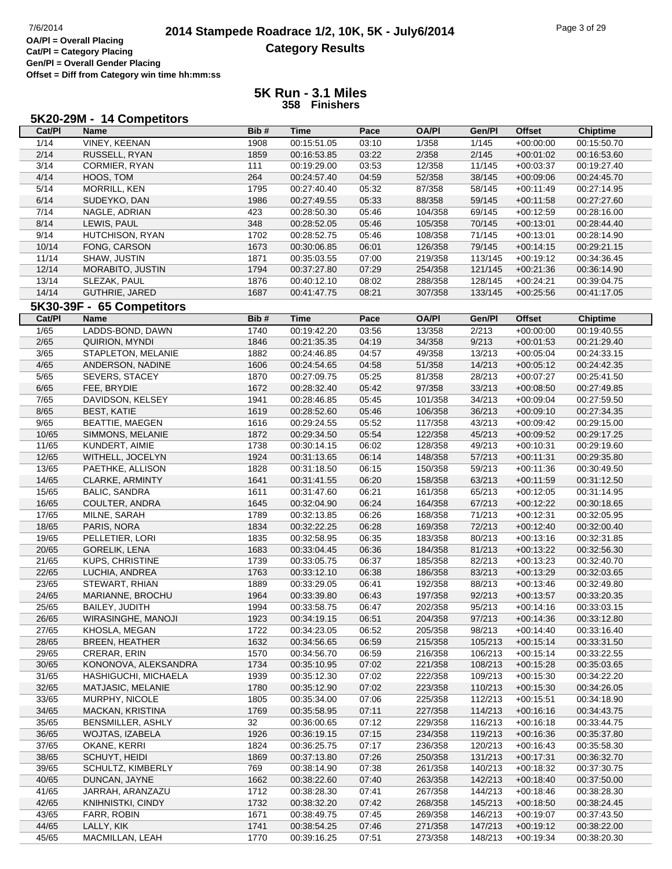# **2014 Stampede Roadrace 1/2, 10K, 5K - July6/2014** Page 3 of 29 Page 3 of 29 **Category Results**

**Cat/Pl = Category Placing Gen/Pl = Overall Gender Placing Offset = Diff from Category win time hh:mm:ss**

### **5K Run - 3.1 Miles 358 Finishers**

#### **5K20-29M - 14 Competitors**

| Cat/PI         | <b>Name</b>               | Bib# | <b>Time</b>                | Pace  | <b>OA/PI</b> | Gen/Pl  | <b>Offset</b>              | <b>Chiptime</b>            |
|----------------|---------------------------|------|----------------------------|-------|--------------|---------|----------------------------|----------------------------|
| 1/14           | VINEY, KEENAN             | 1908 | 00:15:51.05                | 03:10 | 1/358        | 1/145   | $+00:00:00$                | 00:15:50.70                |
| 2/14           | RUSSELL, RYAN             | 1859 | 00:16:53.85                | 03:22 | 2/358        | 2/145   | $+00:01:02$                | 00:16:53.60                |
| 3/14           | CORMIER, RYAN             | 111  | 00:19:29.00                | 03:53 | 12/358       | 11/145  | $+00:03:37$                | 00:19:27.40                |
| 4/14           | HOOS, TOM                 | 264  | 00:24:57.40                | 04:59 | 52/358       | 38/145  | $+00:09:06$                | 00:24:45.70                |
| 5/14           | MORRILL, KEN              | 1795 | 00:27:40.40                | 05:32 | 87/358       | 58/145  | $+00:11:49$                | 00:27:14.95                |
| 6/14           | SUDEYKO, DAN              | 1986 | 00:27:49.55                | 05:33 | 88/358       | 59/145  | $+00:11:58$                | 00:27:27.60                |
| 7/14           | NAGLE, ADRIAN             | 423  | 00:28:50.30                | 05:46 | 104/358      | 69/145  | $+00:12:59$                | 00:28:16.00                |
| 8/14           | LEWIS, PAUL               | 348  | 00:28:52.05                | 05:46 | 105/358      | 70/145  | $+00:13:01$                | 00:28:44.40                |
| 9/14           | HUTCHISON, RYAN           | 1702 | 00:28:52.75                | 05:46 | 108/358      | 71/145  | $+00:13:01$                | 00:28:14.90                |
| 10/14          | FONG, CARSON              | 1673 | 00:30:06.85                | 06:01 | 126/358      | 79/145  | $+00:14:15$                | 00:29:21.15                |
| 11/14          | SHAW, JUSTIN              | 1871 | 00:35:03.55                | 07:00 | 219/358      | 113/145 | $+00:19:12$                | 00:34:36.45                |
| 12/14          | MORABITO, JUSTIN          | 1794 | 00:37:27.80                | 07:29 | 254/358      | 121/145 | $+00:21:36$                | 00:36:14.90                |
| 13/14          | SLEZAK, PAUL              | 1876 | 00:40:12.10                | 08:02 | 288/358      | 128/145 | $+00:24:21$                | 00:39:04.75                |
| 14/14          | GUTHRIE, JARED            | 1687 | 00:41:47.75                | 08:21 | 307/358      | 133/145 | $+00:25:56$                | 00:41:17.05                |
|                | 5K30-39F - 65 Competitors |      |                            |       |              |         |                            |                            |
| Cat/PI         | <b>Name</b>               | Bib# | <b>Time</b>                | Pace  | <b>OA/PI</b> | Gen/PI  | <b>Offset</b>              | <b>Chiptime</b>            |
| 1/65           | LADDS-BOND, DAWN          | 1740 | 00:19:42.20                | 03:56 | 13/358       | 2/213   | $+00:00:00$                | 00:19:40.55                |
| 2/65           |                           |      |                            |       |              | 9/213   |                            |                            |
| 3/65           | QUIRION, MYNDI            | 1846 | 00:21:35.35                | 04:19 | 34/358       |         | $+00:01:53$                | 00:21:29.40                |
|                | STAPLETON, MELANIE        | 1882 | 00:24:46.85                | 04:57 | 49/358       | 13/213  | $+00:05:04$                | 00:24:33.15<br>00:24:42.35 |
| 4/65           | ANDERSON, NADINE          | 1606 | 00:24:54.65                | 04:58 | 51/358       | 14/213  | $+00:05:12$                |                            |
| 5/65           | SEVERS, STACEY            | 1870 | 00:27:09.75                | 05:25 | 81/358       | 28/213  | $+00:07:27$                | 00:25:41.50                |
| 6/65           | FEE, BRYDIE               | 1672 | 00:28:32.40                | 05:42 | 97/358       | 33/213  | $+00:08:50$                | 00:27:49.85                |
| 7/65           | DAVIDSON, KELSEY          | 1941 | 00:28:46.85                | 05:45 | 101/358      | 34/213  | $+00:09:04$                | 00:27:59.50                |
| 8/65           | <b>BEST, KATIE</b>        | 1619 | 00:28:52.60                | 05:46 | 106/358      | 36/213  | $+00:09:10$                | 00:27:34.35                |
| 9/65           | <b>BEATTIE, MAEGEN</b>    | 1616 | 00:29:24.55                | 05:52 | 117/358      | 43/213  | $+00:09:42$                | 00:29:15.00                |
| 10/65          | SIMMONS, MELANIE          | 1872 | 00:29:34.50                | 05:54 | 122/358      | 45/213  | $+00:09:52$                | 00:29:17.25                |
| 11/65          | KUNDERT, AIMIE            | 1738 | 00:30:14.15                | 06:02 | 128/358      | 49/213  | $+00:10:31$                | 00:29:19.60                |
| 12/65          | WITHELL, JOCELYN          | 1924 | 00:31:13.65                | 06:14 | 148/358      | 57/213  | $+00:11:31$                | 00:29:35.80                |
| 13/65          | PAETHKE, ALLISON          | 1828 | 00:31:18.50                | 06:15 | 150/358      | 59/213  | $+00:11:36$                | 00:30:49.50                |
| 14/65          | CLARKE, ARMINTY           | 1641 | 00:31:41.55                | 06:20 | 158/358      | 63/213  | $+00:11:59$                | 00:31:12.50                |
| 15/65          | <b>BALIC, SANDRA</b>      | 1611 | 00:31:47.60                | 06:21 | 161/358      | 65/213  | $+00:12:05$                | 00:31:14.95                |
| 16/65          | COULTER, ANDRA            | 1645 | 00:32:04.90                | 06:24 | 164/358      | 67/213  | $+00:12:22$                | 00:30:18.65                |
| 17/65          | MILNE, SARAH              | 1789 | 00:32:13.85                | 06:26 | 168/358      | 71/213  | $+00:12:31$                | 00:32:05.95                |
| 18/65          | PARIS, NORA               | 1834 | 00:32:22.25                | 06:28 | 169/358      | 72/213  | $+00:12:40$                | 00:32:00.40                |
| 19/65          | PELLETIER, LORI           | 1835 | 00:32:58.95                | 06:35 | 183/358      | 80/213  | $+00:13:16$                | 00:32:31.85                |
| 20/65          | <b>GORELIK, LENA</b>      | 1683 | 00:33:04.45                | 06:36 | 184/358      | 81/213  | $+00:13:22$                | 00:32:56.30                |
| 21/65          | <b>KUPS, CHRISTINE</b>    | 1739 | 00:33:05.75                | 06:37 | 185/358      | 82/213  | $+00:13:23$                | 00:32:40.70                |
| 22/65          | LUCHIA, ANDREA            | 1763 | 00:33:12.10                | 06:38 | 186/358      | 83/213  | $+00:13:29$                | 00:32:03.65                |
| 23/65          | STEWART, RHIAN            | 1889 | 00:33:29.05                | 06:41 | 192/358      | 88/213  | $+00:13:46$                | 00:32:49.80                |
| 24/65          | MARIANNE, BROCHU          | 1964 | 00:33:39.80                | 06:43 | 197/358      | 92/213  | $+00:13:57$                | 00:33:20.35                |
| 25/65          | BAILEY, JUDITH            | 1994 | 00:33:58.75                | 06:47 | 202/358      | 95/213  | $+00:14:16$                | 00:33:03.15                |
| 26/65          | WIRASINGHE, MANOJI        | 1923 | 00:34:19.15                | 06:51 | 204/358      | 97/213  | $+00:14:36$                | 00:33:12.80                |
| 27/65          | KHOSLA, MEGAN             | 1722 | 00:34:23.05                | 06:52 | 205/358      | 98/213  | $+00:14:40$                | 00:33:16.40                |
| 28/65          | <b>BREEN, HEATHER</b>     | 1632 | 00:34:56.65                | 06:59 | 215/358      | 105/213 | $+00:15:14$                | 00:33:31.50                |
| 29/65          | CRERAR, ERIN              | 1570 | 00:34:56.70                | 06:59 | 216/358      | 106/213 | $+00:15:14$                | 00:33:22.55                |
| 30/65<br>31/65 | KONONOVA, ALEKSANDRA      | 1734 | 00:35:10.95<br>00:35:12.30 | 07:02 | 221/358      | 108/213 | $+00:15:28$<br>$+00:15:30$ | 00:35:03.65                |
|                | HASHIGUCHI, MICHAELA      | 1939 |                            | 07:02 | 222/358      | 109/213 |                            | 00:34:22.20                |
| 32/65          | MATJASIC, MELANIE         | 1780 | 00:35:12.90                | 07:02 | 223/358      | 110/213 | $+00:15:30$                | 00:34:26.05                |
| 33/65          | MURPHY, NICOLE            | 1805 | 00:35:34.00                | 07:06 | 225/358      | 112/213 | $+00:15:51$                | 00:34:18.90                |
| 34/65          | MACKAN, KRISTINA          | 1769 | 00:35:58.95                | 07:11 | 227/358      | 114/213 | $+00:16:16$                | 00:34:43.75                |
| 35/65          | BENSMILLER, ASHLY         | 32   | 00:36:00.65                | 07:12 | 229/358      | 116/213 | $+00:16:18$                | 00:33:44.75                |
| 36/65          | WOJTAS, IZABELA           | 1926 | 00:36:19.15                | 07:15 | 234/358      | 119/213 | $+00.16.36$                | 00:35:37.80                |
| 37/65          | OKANE, KERRI              | 1824 | 00:36:25.75                | 07:17 | 236/358      | 120/213 | $+00:16:43$                | 00:35:58.30                |
| 38/65          | SCHUYT, HEIDI             | 1869 | 00:37:13.80                | 07:26 | 250/358      | 131/213 | $+00:17:31$                | 00:36:32.70                |
| 39/65          | SCHULTZ, KIMBERLY         | 769  | 00:38:14.90                | 07:38 | 261/358      | 140/213 | $+00:18:32$                | 00:37:30.75                |
| 40/65          | DUNCAN, JAYNE             | 1662 | 00:38:22.60                | 07:40 | 263/358      | 142/213 | $+00:18:40$                | 00:37:50.00                |
| 41/65          | JARRAH, ARANZAZU          | 1712 | 00:38:28.30                | 07:41 | 267/358      | 144/213 | $+00:18:46$                | 00:38:28.30                |
| 42/65          | KNIHNISTKI, CINDY         | 1732 | 00:38:32.20                | 07:42 | 268/358      | 145/213 | $+00:18:50$                | 00:38:24.45                |
| 43/65          | FARR, ROBIN               | 1671 | 00:38:49.75                | 07:45 | 269/358      | 146/213 | $+00:19:07$                | 00:37:43.50                |
| 44/65          | LALLY, KIK                | 1741 | 00:38:54.25                | 07:46 | 271/358      | 147/213 | $+00:19:12$                | 00:38:22.00                |
| 45/65          | MACMILLAN, LEAH           | 1770 | 00:39:16.25                | 07:51 | 273/358      | 148/213 | $+00:19:34$                | 00:38:20.30                |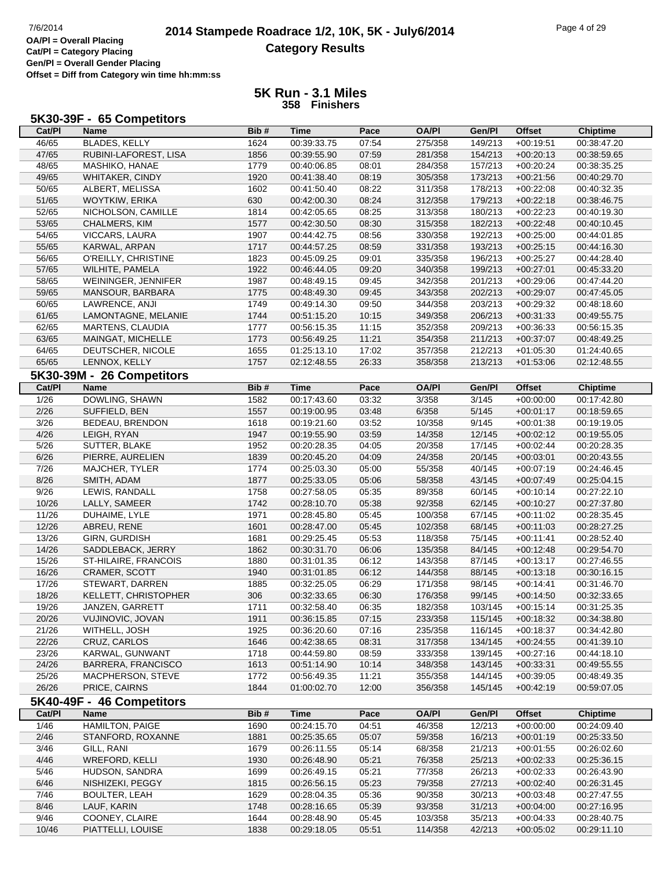## **2014 Stampede Roadrace 1/2, 10K, 5K - July6/2014** 7/6/2014 Page 4 of 29 **Category Results**

**Cat/Pl = Category Placing Gen/Pl = Overall Gender Placing Offset = Diff from Category win time hh:mm:ss**

### **5K Run - 3.1 Miles 358 Finishers**

#### **5K30-39F - 65 Competitors**

| Cat/PI         | Name                      | Bib# | <b>Time</b> | Pace  | <b>OA/PI</b> | Gen/Pl  | <b>Offset</b> | <b>Chiptime</b> |
|----------------|---------------------------|------|-------------|-------|--------------|---------|---------------|-----------------|
| 46/65          | <b>BLADES, KELLY</b>      | 1624 | 00:39:33.75 | 07:54 | 275/358      | 149/213 | $+00:19:51$   | 00:38:47.20     |
| 47/65          | RUBINI-LAFOREST, LISA     | 1856 | 00:39:55.90 | 07:59 | 281/358      | 154/213 | $+00:20:13$   | 00:38:59.65     |
| 48/65          | MASHIKO, HANAE            | 1779 | 00:40:06.85 | 08:01 | 284/358      | 157/213 | $+00:20:24$   | 00:38:35.25     |
| 49/65          | WHITAKER, CINDY           | 1920 | 00:41:38.40 | 08:19 | 305/358      | 173/213 | $+00:21:56$   | 00:40:29.70     |
| 50/65          | ALBERT, MELISSA           | 1602 | 00:41:50.40 | 08:22 | 311/358      | 178/213 | $+00:22:08$   | 00:40:32.35     |
| 51/65          | WOYTKIW, ERIKA            | 630  | 00:42:00.30 | 08:24 | 312/358      | 179/213 | $+00:22:18$   | 00:38:46.75     |
| 52/65          | NICHOLSON, CAMILLE        | 1814 | 00:42:05.65 | 08:25 | 313/358      | 180/213 | $+00:22:23$   | 00:40:19.30     |
| 53/65          | CHALMERS, KIM             | 1577 | 00:42:30.50 | 08:30 | 315/358      | 182/213 | $+00:22:48$   | 00:40:10.45     |
| 54/65          | VICCARS, LAURA            | 1907 | 00:44:42.75 | 08:56 | 330/358      | 192/213 | $+00:25:00$   | 00:44:01.85     |
| 55/65          | KARWAL, ARPAN             | 1717 | 00:44:57.25 | 08:59 | 331/358      | 193/213 | $+00:25:15$   | 00:44:16.30     |
| 56/65          | O'REILLY, CHRISTINE       | 1823 | 00:45:09.25 | 09:01 | 335/358      | 196/213 | $+00:25:27$   | 00:44:28.40     |
| 57/65          | WILHITE, PAMELA           | 1922 | 00:46:44.05 | 09:20 | 340/358      | 199/213 | $+00:27:01$   | 00:45:33.20     |
| 58/65          | WEININGER, JENNIFER       | 1987 | 00:48:49.15 | 09:45 | 342/358      | 201/213 | $+00:29:06$   | 00:47:44.20     |
| 59/65          | MANSOUR, BARBARA          | 1775 | 00:48:49.30 | 09:45 | 343/358      | 202/213 | $+00:29:07$   | 00:47:45.05     |
| 60/65          | LAWRENCE, ANJI            | 1749 | 00:49:14.30 | 09:50 | 344/358      | 203/213 | $+00:29:32$   | 00:48:18.60     |
| 61/65          | LAMONTAGNE, MELANIE       | 1744 | 00:51:15.20 | 10:15 | 349/358      | 206/213 | $+00:31:33$   | 00:49:55.75     |
| 62/65          | MARTENS, CLAUDIA          | 1777 | 00:56:15.35 | 11:15 | 352/358      | 209/213 | $+00:36:33$   | 00:56:15.35     |
| 63/65          | MAINGAT, MICHELLE         | 1773 | 00:56:49.25 | 11:21 | 354/358      | 211/213 | $+00:37:07$   | 00:48:49.25     |
| 64/65          | DEUTSCHER, NICOLE         | 1655 | 01:25:13.10 | 17:02 | 357/358      | 212/213 | $+01:05:30$   | 01:24:40.65     |
| 65/65          | LENNOX, KELLY             | 1757 | 02:12:48.55 | 26:33 | 358/358      | 213/213 | $+01:53:06$   | 02:12:48.55     |
|                | 5K30-39M - 26 Competitors |      |             |       |              |         |               |                 |
| Cat/PI         | Name                      | Bib# | <b>Time</b> | Pace  | <b>OA/PI</b> | Gen/Pl  | <b>Offset</b> | <b>Chiptime</b> |
|                | DOWLING, SHAWN            |      |             |       |              |         |               |                 |
| $\frac{1}{26}$ |                           | 1582 | 00:17:43.60 | 03:32 | 3/358        | 3/145   | $+00:00:00$   | 00:17:42.80     |
| $2/26$         | SUFFIELD, BEN             | 1557 | 00:19:00.95 | 03:48 | 6/358        | 5/145   | $+00:01:17$   | 00:18:59.65     |
| 3/26           | BEDEAU, BRENDON           | 1618 | 00:19:21.60 | 03:52 | 10/358       | 9/145   | $+00:01:38$   | 00:19:19.05     |
| 4/26           | LEIGH, RYAN               | 1947 | 00:19:55.90 | 03:59 | 14/358       | 12/145  | $+00:02:12$   | 00:19:55.05     |
| 5/26           | SUTTER, BLAKE             | 1952 | 00:20:28.35 | 04:05 | 20/358       | 17/145  | $+00:02:44$   | 00:20:28.35     |
| 6/26           | PIERRE, AURELIEN          | 1839 | 00:20:45.20 | 04:09 | 24/358       | 20/145  | $+00:03:01$   | 00:20:43.55     |
| 7/26           | MAJCHER, TYLER            | 1774 | 00:25:03.30 | 05:00 | 55/358       | 40/145  | $+00:07:19$   | 00:24:46.45     |
| 8/26           | SMITH, ADAM               | 1877 | 00:25:33.05 | 05:06 | 58/358       | 43/145  | $+00:07:49$   | 00:25:04.15     |
| 9/26           | LEWIS, RANDALL            | 1758 | 00:27:58.05 | 05:35 | 89/358       | 60/145  | $+00:10:14$   | 00:27:22.10     |
| 10/26          | LALLY, SAMEER             | 1742 | 00:28:10.70 | 05:38 | 92/358       | 62/145  | $+00:10:27$   | 00:27:37.80     |
| 11/26          | DUHAIME, LYLE             | 1971 | 00:28:45.80 | 05:45 | 100/358      | 67/145  | $+00:11:02$   | 00:28:35.45     |
| 12/26          | ABREU, RENE               | 1601 | 00:28:47.00 | 05:45 | 102/358      | 68/145  | $+00:11:03$   | 00:28:27.25     |
| 13/26          | <b>GIRN, GURDISH</b>      | 1681 | 00:29:25.45 | 05:53 | 118/358      | 75/145  | $+00:11:41$   | 00:28:52.40     |
| 14/26          | SADDLEBACK, JERRY         | 1862 | 00:30:31.70 | 06:06 | 135/358      | 84/145  | $+00:12:48$   | 00:29:54.70     |
| 15/26          | ST-HILAIRE, FRANCOIS      | 1880 | 00:31:01.35 | 06:12 | 143/358      | 87/145  | $+00:13:17$   | 00:27:46.55     |
| 16/26          | CRAMER, SCOTT             | 1940 | 00:31:01.85 | 06:12 | 144/358      | 88/145  | $+00:13:18$   | 00:30:16.15     |
| 17/26          | STEWART, DARREN           | 1885 | 00:32:25.05 | 06:29 | 171/358      | 98/145  | $+00:14:41$   | 00:31:46.70     |
| 18/26          | KELLETT, CHRISTOPHER      | 306  | 00:32:33.65 | 06:30 | 176/358      | 99/145  | $+00:14:50$   | 00:32:33.65     |
| 19/26          | JANZEN, GARRETT           | 1711 | 00:32:58.40 | 06:35 | 182/358      | 103/145 | $+00:15:14$   | 00:31:25.35     |
| 20/26          | VUJINOVIC, JOVAN          | 1911 | 00:36:15.85 | 07:15 | 233/358      | 115/145 | +00:18:32     | 00:34:38.80     |
| 21/26          | WITHELL, JOSH             | 1925 | 00:36:20.60 | 07:16 | 235/358      | 116/145 | $+00:18:37$   | 00:34:42.80     |
| 22/26          | CRUZ, CARLOS              | 1646 | 00:42:38.65 | 08:31 | 317/358      | 134/145 | $+00:24:55$   | 00:41:39.10     |
| 23/26          | KARWAL, GUNWANT           | 1718 | 00:44:59.80 | 08:59 | 333/358      | 139/145 | $+00:27:16$   | 00:44:18.10     |
| 24/26          | BARRERA, FRANCISCO        | 1613 | 00:51:14.90 | 10:14 | 348/358      | 143/145 | $+00:33:31$   | 00:49:55.55     |
| 25/26          | MACPHERSON, STEVE         | 1772 | 00:56:49.35 | 11:21 | 355/358      | 144/145 | $+00:39:05$   | 00:48:49.35     |
| 26/26          | PRICE, CAIRNS             | 1844 | 01:00:02.70 | 12:00 | 356/358      | 145/145 | $+00:42:19$   | 00:59:07.05     |
|                | 5K40-49F - 46 Competitors |      |             |       |              |         |               |                 |
| Cat/PI         | <b>Name</b>               | Bib# | <b>Time</b> | Pace  | <b>OA/PI</b> | Gen/Pl  | <b>Offset</b> | <b>Chiptime</b> |
| 1/46           | HAMILTON, PAIGE           | 1690 | 00:24:15.70 | 04:51 | 46/358       | 12/213  | $+00:00:00$   | 00:24:09.40     |
| 2/46           | STANFORD, ROXANNE         | 1881 | 00:25:35.65 | 05:07 | 59/358       | 16/213  | $+00:01:19$   | 00:25:33.50     |
| 3/46           | GILL, RANI                | 1679 | 00:26:11.55 | 05:14 | 68/358       | 21/213  | $+00:01:55$   | 00:26:02.60     |
| 4/46           | <b>WREFORD, KELLI</b>     | 1930 | 00:26:48.90 | 05:21 | 76/358       | 25/213  | $+00:02:33$   | 00:25:36.15     |
| $5/46$         | HUDSON, SANDRA            | 1699 | 00:26:49.15 | 05:21 | 77/358       | 26/213  | $+00:02:33$   | 00:26:43.90     |
| 6/46           | NISHIZEKI, PEGGY          | 1815 | 00:26:56.15 | 05:23 | 79/358       | 27/213  | $+00:02:40$   | 00:26:31.45     |
| 7/46           | <b>BOULTER, LEAH</b>      | 1629 | 00:28:04.35 | 05:36 | 90/358       | 30/213  | $+00:03:48$   | 00:27:47.55     |
| 8/46           | LAUF, KARIN               | 1748 | 00:28:16.65 | 05:39 | 93/358       | 31/213  | $+00:04:00$   | 00:27:16.95     |
| 9/46           | COONEY, CLAIRE            | 1644 | 00:28:48.90 | 05:45 | 103/358      | 35/213  | $+00:04:33$   | 00:28:40.75     |
| 10/46          | PIATTELLI, LOUISE         | 1838 | 00:29:18.05 | 05:51 | 114/358      | 42/213  | $+00:05:02$   | 00:29:11.10     |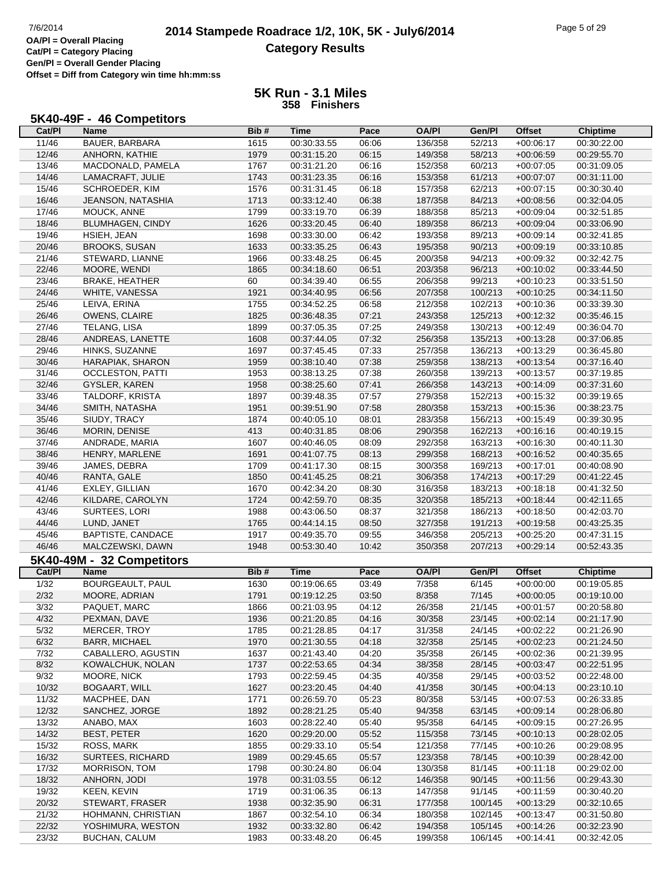$\mathsf{r}$ 

# **2014 Stampede Roadrace 1/2, 10K, 5K - July6/2014** Page 5 of 29 Page 5 of 29 **Category Results**

**Cat/Pl = Category Placing Gen/Pl = Overall Gender Placing Offset = Diff from Category win time hh:mm:ss**

| 5K40-49F - 46 Competitors |
|---------------------------|
|---------------------------|

| Cat/PI         | Name                      | Bib# | Time        | Pace  | <b>OA/PI</b> | Gen/Pl  | <b>Offset</b> | <b>Chiptime</b> |
|----------------|---------------------------|------|-------------|-------|--------------|---------|---------------|-----------------|
| 11/46          | BAUER, BARBARA            | 1615 | 00:30:33.55 | 06:06 | 136/358      | 52/213  | $+00:06:17$   | 00:30:22.00     |
| 12/46          | ANHORN, KATHIE            | 1979 | 00:31:15.20 | 06:15 | 149/358      | 58/213  | $+00:06:59$   | 00:29:55.70     |
| 13/46          | MACDONALD, PAMELA         | 1767 | 00:31:21.20 | 06:16 | 152/358      | 60/213  | $+00:07:05$   | 00:31:09.05     |
| 14/46          | LAMACRAFT, JULIE          | 1743 | 00:31:23.35 | 06:16 | 153/358      | 61/213  | $+00:07:07$   | 00:31:11.00     |
| 15/46          | SCHROEDER, KIM            |      |             |       |              |         |               |                 |
|                |                           | 1576 | 00:31:31.45 | 06:18 | 157/358      | 62/213  | $+00:07:15$   | 00:30:30.40     |
| 16/46          | JEANSON, NATASHIA         | 1713 | 00:33:12.40 | 06:38 | 187/358      | 84/213  | $+00:08:56$   | 00:32:04.05     |
| 17/46          | MOUCK, ANNE               | 1799 | 00:33:19.70 | 06:39 | 188/358      | 85/213  | $+00:09:04$   | 00:32:51.85     |
| 18/46          | <b>BLUMHAGEN, CINDY</b>   | 1626 | 00:33:20.45 | 06:40 | 189/358      | 86/213  | $+00:09:04$   | 00:33:06.90     |
| 19/46          | HSIEH, JEAN               | 1698 | 00:33:30.00 | 06:42 | 193/358      | 89/213  | $+00:09:14$   | 00:32:41.85     |
| 20/46          | <b>BROOKS, SUSAN</b>      | 1633 | 00:33:35.25 | 06:43 | 195/358      | 90/213  | $+00:09:19$   | 00:33:10.85     |
| 21/46          | STEWARD, LIANNE           | 1966 | 00:33:48.25 | 06:45 | 200/358      | 94/213  | $+00:09:32$   | 00:32:42.75     |
| 22/46          | MOORE, WENDI              | 1865 | 00:34:18.60 | 06:51 | 203/358      | 96/213  | $+00:10:02$   | 00:33:44.50     |
| 23/46          | <b>BRAKE, HEATHER</b>     | 60   | 00:34:39.40 | 06:55 | 206/358      | 99/213  | $+00:10:23$   | 00:33:51.50     |
| 24/46          | WHITE, VANESSA            | 1921 | 00:34:40.95 | 06:56 | 207/358      | 100/213 | $+00:10:25$   | 00:34:11.50     |
| 25/46          | LEIVA, ERINA              | 1755 | 00:34:52.25 | 06:58 | 212/358      | 102/213 | $+00:10:36$   | 00:33:39.30     |
| 26/46          | OWENS, CLAIRE             | 1825 | 00:36:48.35 | 07:21 | 243/358      | 125/213 | $+00:12:32$   | 00:35:46.15     |
| 27/46          | TELANG, LISA              | 1899 | 00:37:05.35 | 07:25 | 249/358      | 130/213 | $+00:12:49$   | 00:36:04.70     |
| 28/46          | ANDREAS, LANETTE          | 1608 | 00:37:44.05 | 07:32 | 256/358      | 135/213 | $+00:13:28$   | 00:37:06.85     |
| 29/46          | HINKS, SUZANNE            | 1697 | 00:37:45.45 | 07:33 | 257/358      | 136/213 | $+00:13:29$   | 00:36:45.80     |
| 30/46          | HARAPIAK, SHARON          | 1959 | 00:38:10.40 | 07:38 | 259/358      | 138/213 | $+00:13:54$   | 00:37:16.40     |
| 31/46          | <b>OCCLESTON, PATTI</b>   | 1953 | 00:38:13.25 | 07:38 | 260/358      | 139/213 | $+00:13:57$   | 00:37:19.85     |
| 32/46          | GYSLER, KAREN             | 1958 | 00:38:25.60 | 07:41 | 266/358      | 143/213 | $+00:14:09$   | 00:37:31.60     |
| 33/46          | TALDORF, KRISTA           | 1897 | 00:39:48.35 | 07:57 | 279/358      | 152/213 | $+00:15:32$   | 00:39:19.65     |
| 34/46          | SMITH, NATASHA            | 1951 | 00:39:51.90 | 07:58 | 280/358      | 153/213 | $+00:15:36$   | 00:38:23.75     |
|                |                           |      |             |       |              |         |               |                 |
| 35/46          | SIUDY, TRACY              | 1874 | 00:40:05.10 | 08:01 | 283/358      | 156/213 | $+00:15:49$   | 00:39:30.95     |
| 36/46          | MORIN, DENISE             | 413  | 00:40:31.85 | 08:06 | 290/358      | 162/213 | $+00:16:16$   | 00:40:19.15     |
| 37/46          | ANDRADE, MARIA            | 1607 | 00:40:46.05 | 08:09 | 292/358      | 163/213 | $+00:16:30$   | 00:40:11.30     |
| 38/46          | HENRY, MARLENE            | 1691 | 00:41:07.75 | 08:13 | 299/358      | 168/213 | $+00:16:52$   | 00:40:35.65     |
| 39/46          | JAMES, DEBRA              | 1709 | 00:41:17.30 | 08:15 | 300/358      | 169/213 | $+00:17:01$   | 00:40:08.90     |
| 40/46          | RANTA, GALE               | 1850 | 00:41:45.25 | 08:21 | 306/358      | 174/213 | $+00:17:29$   | 00:41:22.45     |
| 41/46          | EXLEY, GILLIAN            | 1670 | 00:42:34.20 | 08:30 | 316/358      | 183/213 | $+00:18:18$   | 00:41:32.50     |
| 42/46          | KILDARE, CAROLYN          | 1724 | 00:42:59.70 | 08:35 | 320/358      | 185/213 | $+00:18:44$   | 00:42:11.65     |
| 43/46          | SURTEES, LORI             | 1988 | 00:43:06.50 | 08:37 | 321/358      | 186/213 | $+00:18:50$   | 00:42:03.70     |
| 44/46          | LUND, JANET               | 1765 | 00:44:14.15 | 08:50 | 327/358      | 191/213 | $+00:19:58$   | 00:43:25.35     |
| 45/46          | BAPTISTE, CANDACE         | 1917 | 00:49:35.70 | 09:55 | 346/358      | 205/213 | $+00:25:20$   | 00:47:31.15     |
| 46/46          | MALCZEWSKI, DAWN          | 1948 | 00:53:30.40 | 10:42 | 350/358      | 207/213 | $+00:29:14$   | 00:52:43.35     |
|                | 5K40-49M - 32 Competitors |      |             |       |              |         |               |                 |
| Cat/PI         | Name                      | Bib# | Time        | Pace  | <b>OA/PI</b> | Gen/Pl  | Offset        | <b>Chiptime</b> |
| 1/32           | BOURGEAULT, PAUL          | 1630 | 00:19:06.65 | 03:49 | 7/358        | 6/145   | $+00:00:00$   | 00:19:05.85     |
| 2/32           | MOORE, ADRIAN             | 1791 | 00:19:12.25 | 03:50 | 8/358        | 7/145   | $+00:00:05$   | 00:19:10.00     |
| $\frac{3}{32}$ | PAQUET, MARC              | 1866 | 00:21:03.95 | 04:12 | 26/358       | 21/145  | $+00.01.57$   | 00:20:58.80     |
| 4/32           | PEXMAN, DAVE              | 1936 | 00:21:20.85 | 04:16 | 30/358       | 23/145  | $+00:02:14$   | 00:21:17.90     |
| 5/32           | <b>MERCER, TROY</b>       | 1785 | 00:21:28.85 | 04:17 | 31/358       | 24/145  | $+00:02:22$   | 00:21:26.90     |
| 6/32           | <b>BARR, MICHAEL</b>      | 1970 | 00:21:30.55 | 04:18 | 32/358       | 25/145  | $+00:02:23$   | 00:21:24.50     |
| $7/32$         | CABALLERO, AGUSTIN        | 1637 | 00:21:43.40 | 04:20 | 35/358       | 26/145  | $+00:02:36$   | 00:21:39.95     |
| 8/32           | KOWALCHUK, NOLAN          | 1737 | 00:22:53.65 | 04:34 | 38/358       |         | $+00:03:47$   | 00:22:51.95     |
|                |                           |      |             |       |              | 28/145  |               |                 |
| 9/32           | MOORE, NICK               | 1793 | 00:22:59.45 | 04:35 | 40/358       | 29/145  | $+00:03:52$   | 00:22:48.00     |
| 10/32          | <b>BOGAART, WILL</b>      | 1627 | 00:23:20.45 | 04:40 | 41/358       | 30/145  | $+00:04:13$   | 00:23:10.10     |
| 11/32          | MACPHEE, DAN              | 1771 | 00:26:59.70 | 05:23 | 80/358       | 53/145  | $+00:07:53$   | 00:26:33.85     |
| 12/32          | SANCHEZ, JORGE            | 1892 | 00:28:21.25 | 05:40 | 94/358       | 63/145  | $+00:09:14$   | 00:28:06.80     |
| 13/32          | ANABO, MAX                | 1603 | 00:28:22.40 | 05:40 | 95/358       | 64/145  | $+00:09:15$   | 00:27:26.95     |
| 14/32          | <b>BEST, PETER</b>        | 1620 | 00:29:20.00 | 05:52 | 115/358      | 73/145  | $+00:10:13$   | 00:28:02.05     |
| 15/32          | <b>ROSS, MARK</b>         | 1855 | 00:29:33.10 | 05:54 | 121/358      | 77/145  | $+00:10:26$   | 00:29:08.95     |
| 16/32          | <b>SURTEES, RICHARD</b>   | 1989 | 00:29:45.65 | 05:57 | 123/358      | 78/145  | $+00:10:39$   | 00:28:42.00     |
| 17/32          | MORRISON, TOM             | 1798 | 00:30:24.80 | 06:04 | 130/358      | 81/145  | $+00:11:18$   | 00:29:02.00     |
| 18/32          | ANHORN, JODI              | 1978 | 00:31:03.55 | 06:12 | 146/358      | 90/145  | $+00:11:56$   | 00:29:43.30     |
| 19/32          | <b>KEEN, KEVIN</b>        | 1719 | 00:31:06.35 | 06:13 | 147/358      | 91/145  | $+00:11:59$   | 00:30:40.20     |
| 20/32          | STEWART, FRASER           | 1938 | 00:32:35.90 | 06:31 | 177/358      | 100/145 | $+00:13:29$   | 00:32:10.65     |
| 21/32          | HOHMANN, CHRISTIAN        | 1867 | 00:32:54.10 | 06:34 | 180/358      | 102/145 | $+00:13:47$   | 00:31:50.80     |
| 22/32          | YOSHIMURA, WESTON         | 1932 | 00:33:32.80 | 06:42 | 194/358      | 105/145 | $+00:14:26$   | 00:32:23.90     |
|                | <b>BUCHAN, CALUM</b>      | 1983 | 00:33:48.20 | 06:45 | 199/358      | 106/145 | $+00:14:41$   | 00:32:42.05     |
| 23/32          |                           |      |             |       |              |         |               |                 |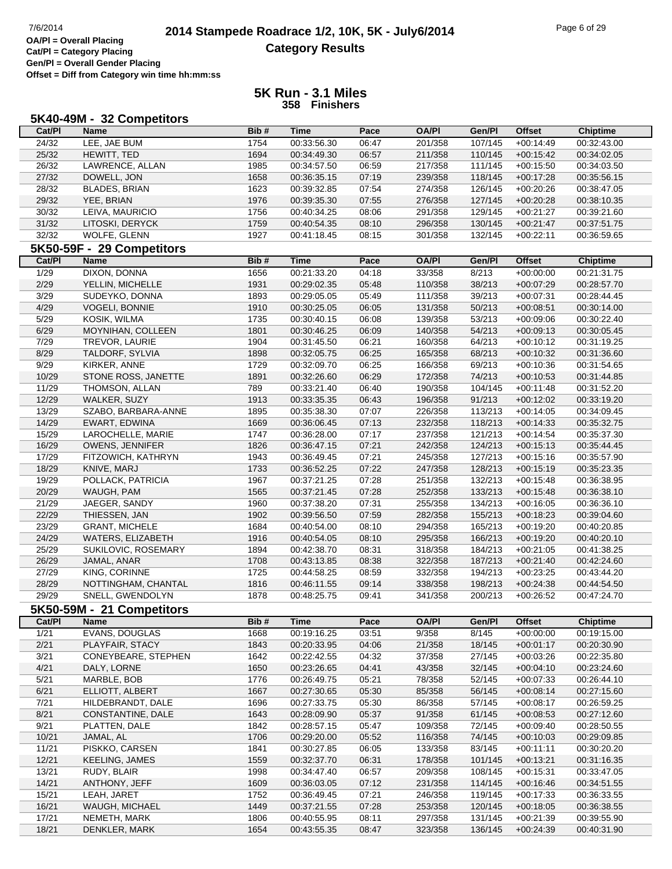## **2014 Stampede Roadrace 1/2, 10K, 5K - July6/2014** 7/6/2014 Page 6 of 29 **Category Results**

**Cat/Pl = Category Placing Gen/Pl = Overall Gender Placing Offset = Diff from Category win time hh:mm:ss**

|                | 5K40-49M - 32 Competitors        |              |                            |                |                    |                    |                            |                            |
|----------------|----------------------------------|--------------|----------------------------|----------------|--------------------|--------------------|----------------------------|----------------------------|
| Cat/PI         | <b>Name</b>                      | Bib#         | Time                       | Pace           | <b>OA/PI</b>       | Gen/Pl             | <b>Offset</b>              | <b>Chiptime</b>            |
| 24/32          | LEE, JAE BUM                     | 1754         | 00:33:56.30                | 06:47          | 201/358            | 107/145            | $+00:14:49$                | 00:32:43.00                |
| 25/32          | HEWITT, TED                      | 1694         | 00:34:49.30                | 06:57          | 211/358            | 110/145            | $+00:15:42$                | 00:34:02.05                |
| 26/32          | LAWRENCE, ALLAN                  | 1985         | 00:34:57.50                | 06:59          | 217/358            | 111/145            | $+00:15:50$                | 00:34:03.50                |
| 27/32          | DOWELL, JON                      | 1658         | 00:36:35.15                | 07:19          | 239/358            | 118/145            | $+00:17:28$                | 00:35:56.15                |
| 28/32          | <b>BLADES, BRIAN</b>             | 1623         | 00:39:32.85                | 07:54          | 274/358            | 126/145            | $+00:20:26$                | 00:38:47.05                |
| 29/32          | YEE, BRIAN                       | 1976         | 00:39:35.30                | 07:55          | 276/358            | 127/145            | $+00:20:28$                | 00:38:10.35                |
| 30/32          | LEIVA, MAURICIO                  | 1756         | 00:40:34.25                | 08:06          | 291/358            | 129/145            | $+00:21:27$                | 00:39:21.60                |
| 31/32          | LITOSKI, DERYCK                  | 1759         | 00:40:54.35                | 08:10          | 296/358            | 130/145            | $+00:21:47$                | 00:37:51.75                |
| 32/32          | WOLFE, GLENN                     | 1927         | 00:41:18.45                | 08:15          | 301/358            | 132/145            | $+00:22:11$                | 00:36:59.65                |
|                | 5K50-59F - 29 Competitors        |              |                            |                |                    |                    |                            |                            |
| Cat/PI         | <b>Name</b>                      | Bib#         | <b>Time</b>                | Pace           | <b>OA/PI</b>       | Gen/Pl             | <b>Offset</b>              | <b>Chiptime</b>            |
| 1/29           | <b>DIXON, DONNA</b>              | 1656         | 00:21:33.20                | 04:18          | 33/358             | 8/213              | $+00:00:00$                | 00:21:31.75                |
| 2/29           | YELLIN, MICHELLE                 | 1931         | 00:29:02.35                | 05:48          | 110/358            | 38/213             | $+00:07:29$                | 00:28:57.70                |
| 3/29           | SUDEYKO, DONNA                   | 1893         | 00:29:05.05                | 05:49          | 111/358            | 39/213             | $+00:07:31$                | 00:28:44.45                |
| 4/29           | VOGELI, BONNIE                   | 1910         | 00:30:25.05                | 06:05          | 131/358            | 50/213             | $+00:08:51$                | 00:30:14.00                |
| 5/29           | KOSIK, WILMA                     | 1735         | 00:30:40.15                | 06:08          | 139/358            | 53/213             | $+00:09:06$                | 00:30:22.40                |
| 6/29           | MOYNIHAN, COLLEEN                | 1801         | 00:30:46.25                | 06:09          | 140/358            | 54/213             | $+00:09:13$                | 00:30:05.45                |
| 7/29           | TREVOR, LAURIE                   | 1904         | 00:31:45.50                | 06:21          | 160/358            | 64/213             | $+00:10:12$                | 00:31:19.25                |
| 8/29           | TALDORF, SYLVIA                  | 1898         | 00:32:05.75                | 06:25          | 165/358            | 68/213             | $+00:10:32$                | 00:31:36.60                |
| 9/29           | KIRKER, ANNE                     | 1729         | 00:32:09.70                | 06:25          | 166/358            | 69/213             | $+00:10:36$                | 00:31:54.65                |
| 10/29          | STONE ROSS, JANETTE              | 1891         | 00:32:26.60                | 06:29          | 172/358            | 74/213             | $+00:10:53$                | 00:31:44.85                |
| 11/29          | THOMSON, ALLAN                   | 789          | 00:33:21.40                | 06:40          | 190/358            | 104/145            | $+00:11:48$                | 00:31:52.20                |
| 12/29          | WALKER, SUZY                     | 1913         | 00:33:35.35                | 06:43          | 196/358            | 91/213             | $+00:12:02$                | 00:33:19.20                |
| 13/29          | SZABO, BARBARA-ANNE              | 1895         | 00:35:38.30                | 07:07          | 226/358            | 113/213            | $+00:14:05$                | 00:34:09.45                |
| 14/29          | EWART, EDWINA                    | 1669         | 00:36:06.45                | 07:13          | 232/358            | 118/213            | $+00:14:33$                | 00:35:32.75                |
| 15/29          | LAROCHELLE, MARIE                | 1747         | 00:36:28.00                | 07:17          | 237/358            | 121/213            | $+00:14:54$                | 00:35:37.30                |
| 16/29          | OWENS, JENNIFER                  | 1826         | 00:36:47.15                | 07:21          | 242/358            | 124/213            | $+00:15:13$                | 00:35:44.45                |
| 17/29<br>18/29 | FITZOWICH, KATHRYN               | 1943         | 00:36:49.45                | 07:21          | 245/358            | 127/213            | $+00:15:16$                | 00:35:57.90                |
| 19/29          | KNIVE, MARJ<br>POLLACK, PATRICIA | 1733<br>1967 | 00:36:52.25<br>00:37:21.25 | 07:22<br>07:28 | 247/358<br>251/358 | 128/213<br>132/213 | $+00:15:19$<br>$+00:15:48$ | 00:35:23.35<br>00:36:38.95 |
| 20/29          | WAUGH, PAM                       | 1565         | 00:37:21.45                | 07:28          | 252/358            | 133/213            | $+00:15:48$                | 00:36:38.10                |
| 21/29          | JAEGER, SANDY                    | 1960         | 00:37:38.20                | 07:31          | 255/358            | 134/213            | $+00:16:05$                | 00:36:36.10                |
| 22/29          | THIESSEN, JAN                    | 1902         | 00:39:56.50                | 07:59          | 282/358            | 155/213            | $+00:18:23$                | 00:39:04.60                |
| 23/29          | <b>GRANT, MICHELE</b>            | 1684         | 00:40:54.00                | 08:10          | 294/358            | 165/213            | $+00:19:20$                | 00:40:20.85                |
| 24/29          | WATERS, ELIZABETH                | 1916         | 00:40:54.05                | 08:10          | 295/358            | 166/213            | $+00:19:20$                | 00:40:20.10                |
| 25/29          | SUKILOVIC, ROSEMARY              | 1894         | 00:42:38.70                | 08:31          | 318/358            | 184/213            | $+00:21:05$                | 00:41:38.25                |
| 26/29          | JAMAL, ANAR                      | 1708         | 00:43:13.85                | 08:38          | 322/358            | 187/213            | $+00:21:40$                | 00:42:24.60                |
| 27/29          | KING, CORINNE                    | 1725         | 00:44:58.25                | 08:59          | 332/358            | 194/213            | $+00:23:25$                | 00:43:44.20                |
| 28/29          | NOTTINGHAM, CHANTAL              | 1816         | 00:46:11.55                | 09:14          | 338/358            | 198/213            | $+00:24:38$                | 00:44:54.50                |
| 29/29          | SNELL, GWENDOLYN                 | 1878         | 00:48:25.75                | 09:41          | 341/358            | 200/213            | $+00:26:52$                | 00:47:24.70                |
|                | 5K50-59M - 21 Competitors        |              |                            |                |                    |                    |                            |                            |
| Cat/PI         | Name                             | Bib#         | <b>Time</b>                | Pace           | <b>OA/PI</b>       | Gen/Pl             | <b>Offset</b>              | <b>Chiptime</b>            |
| 1/21           | EVANS, DOUGLAS                   | 1668         | 00:19:16.25                | 03:51          | 9/358              | 8/145              | $+00:00:00$                | 00:19:15.00                |
| 2/21           | PLAYFAIR, STACY                  | 1843         | 00:20:33.95                | 04:06          | 21/358             | 18/145             | $+00:01:17$                | 00:20:30.90                |
| 3/21           | CONEYBEARE, STEPHEN              | 1642         | 00:22:42.55                | 04:32          | 37/358             | 27/145             | $+00:03:26$                | 00:22:35.80                |
| 4/21           | DALY, LORNE                      | 1650         | 00:23:26.65                | 04:41          | 43/358             | 32/145             | $+00:04:10$                | 00:23:24.60                |
| 5/21           | MARBLE, BOB                      | 1776         | 00:26:49.75                | 05:21          | 78/358             | 52/145             | $+00:07:33$                | 00:26:44.10                |
| 6/21           | ELLIOTT, ALBERT                  | 1667         | 00:27:30.65                | 05:30          | 85/358             | 56/145             | $+00:08:14$                | 00:27:15.60                |
| $7/21$         | HILDEBRANDT, DALE                | 1696         | 00:27:33.75                | 05:30          | 86/358             | 57/145             | $+00:08:17$                | 00:26:59.25                |
| 8/21           | CONSTANTINE, DALE                | 1643         | 00:28:09.90                | 05:37          | 91/358             | 61/145             | $+00:08:53$                | 00:27:12.60                |
| 9/21           | PLATTEN, DALE                    | 1842         | 00:28:57.15                | 05:47          | 109/358            | 72/145             | $+00:09:40$                | 00:28:50.55                |
| 10/21          | JAMAL, AL                        | 1706         | 00:29:20.00                | 05:52          | 116/358            | 74/145             | $+00:10:03$                | 00:29:09.85                |
| 11/21          | PISKKO, CARSEN                   | 1841         | 00:30:27.85                | 06:05          | 133/358            | 83/145             | $+00:11:11$                | 00:30:20.20                |
| 12/21          | <b>KEELING, JAMES</b>            | 1559         | 00:32:37.70                | 06:31          | 178/358            | 101/145            | $+00:13:21$                | 00:31:16.35                |
| 13/21          | RUDY, BLAIR                      | 1998         | 00:34:47.40                | 06:57          | 209/358            | 108/145            | $+00:15:31$                | 00:33:47.05                |
| 14/21          | ANTHONY, JEFF                    | 1609         | 00:36:03.05                | 07:12          | 231/358            | 114/145            | $+00:16:46$                | 00:34:51.55                |
| 15/21          | LEAH, JARET                      | 1752         | 00:36:49.45                | 07:21          | 246/358            | 119/145            | $+00:17:33$                | 00:36:33.55                |
| 16/21          | WAUGH, MICHAEL                   | 1449         | 00:37:21.55                | 07:28          | 253/358            | 120/145            | $+00:18:05$                | 00:36:38.55                |
| 17/21          | NEMETH, MARK                     | 1806         | 00:40:55.95                | 08:11          | 297/358            | 131/145            | $+00:21:39$                | 00:39:55.90                |
| 18/21          | DENKLER, MARK                    | 1654         | 00:43:55.35                | 08:47          | 323/358            | 136/145            | $+00:24:39$                | 00:40:31.90                |